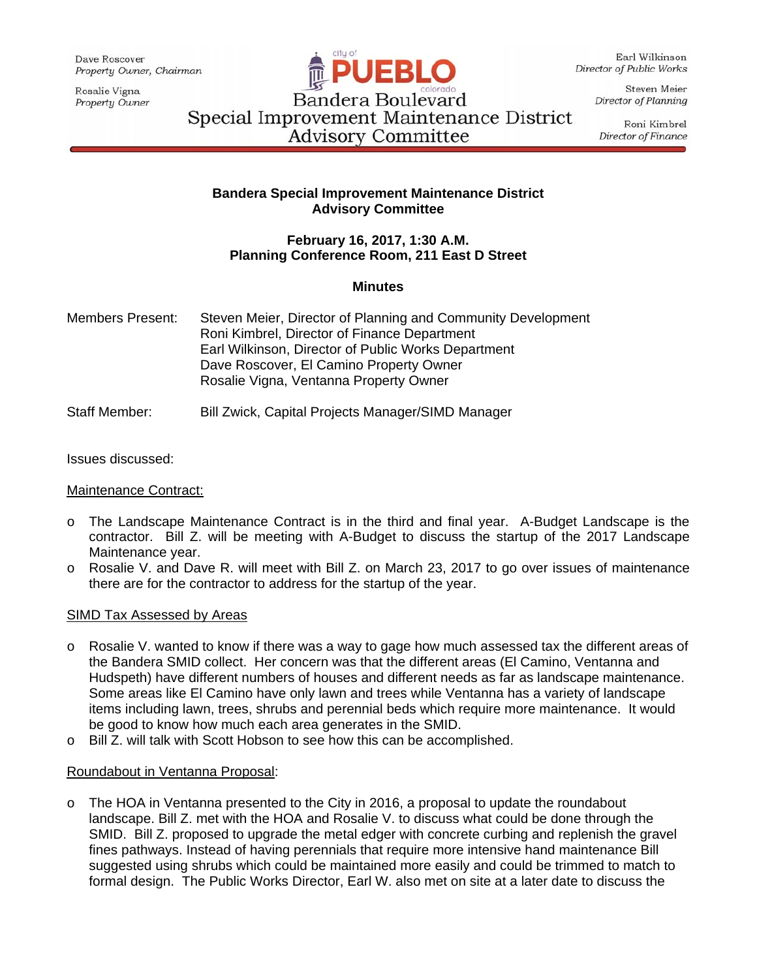Dave Roscover Property Owner, Chairman

Rosalie Vigna Property Owner



Earl Wilkinson Director of Public Works

> Steven Meier Director of Planning

Roni Kimbrel Director of Finance

Bandera Boulevard Special Improvement Maintenance District **Advisory Committee** 

## **Bandera Special Improvement Maintenance District Advisory Committee**

## **February 16, 2017, 1:30 A.M. Planning Conference Room, 211 East D Street**

## **Minutes**

Members Present: Steven Meier, Director of Planning and Community Development Roni Kimbrel, Director of Finance Department Earl Wilkinson, Director of Public Works Department Dave Roscover, El Camino Property Owner Rosalie Vigna, Ventanna Property Owner

# Staff Member: Bill Zwick, Capital Projects Manager/SIMD Manager

Issues discussed:

Maintenance Contract:

- o The Landscape Maintenance Contract is in the third and final year. A-Budget Landscape is the contractor. Bill Z. will be meeting with A-Budget to discuss the startup of the 2017 Landscape Maintenance year.
- o Rosalie V. and Dave R. will meet with Bill Z. on March 23, 2017 to go over issues of maintenance there are for the contractor to address for the startup of the year.

## SIMD Tax Assessed by Areas

- o Rosalie V. wanted to know if there was a way to gage how much assessed tax the different areas of the Bandera SMID collect. Her concern was that the different areas (El Camino, Ventanna and Hudspeth) have different numbers of houses and different needs as far as landscape maintenance. Some areas like El Camino have only lawn and trees while Ventanna has a variety of landscape items including lawn, trees, shrubs and perennial beds which require more maintenance. It would be good to know how much each area generates in the SMID.
- o Bill Z. will talk with Scott Hobson to see how this can be accomplished.

# Roundabout in Ventanna Proposal:

o The HOA in Ventanna presented to the City in 2016, a proposal to update the roundabout landscape. Bill Z. met with the HOA and Rosalie V. to discuss what could be done through the SMID. Bill Z. proposed to upgrade the metal edger with concrete curbing and replenish the gravel fines pathways. Instead of having perennials that require more intensive hand maintenance Bill suggested using shrubs which could be maintained more easily and could be trimmed to match to formal design. The Public Works Director, Earl W. also met on site at a later date to discuss the